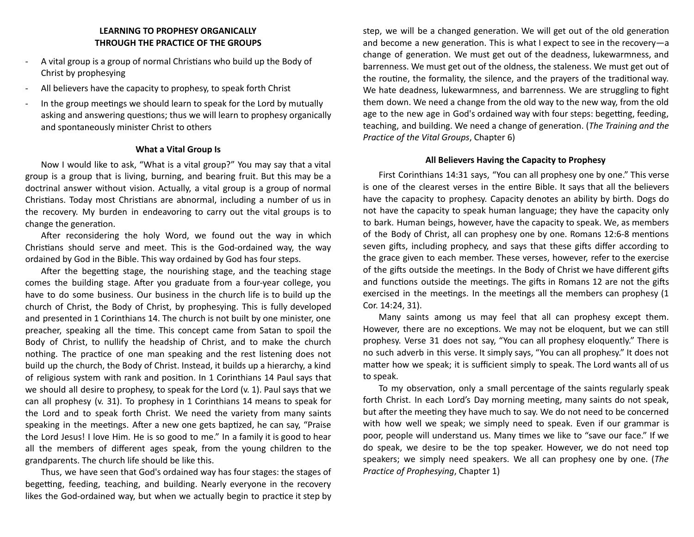## **LEARNING TO PROPHESY ORGANICALLY THROUGH THE PRACTICE OF THE GROUPS**

- A vital group is a group of normal Christians who build up the Body of Christ by prophesying
- All believers have the capacity to prophesy, to speak forth Christ
- In the group meetings we should learn to speak for the Lord by mutually asking and answering questions; thus we will learn to prophesy organically and spontaneously minister Christ to others

### **What a Vital Group Is**

Now I would like to ask, "What is a vital group?" You may say that a vital group is a group that is living, burning, and bearing fruit. But this may be a doctrinal answer without vision. Actually, a vital group is a group of normal Christians. Today most Christians are abnormal, including a number of us in the recovery. My burden in endeavoring to carry out the vital groups is to change the generation.

After reconsidering the holy Word, we found out the way in which Christians should serve and meet. This is the God-ordained way, the way ordained by God in the Bible. This way ordained by God has four steps.

After the begetting stage, the nourishing stage, and the teaching stage comes the building stage. After you graduate from a four-year college, you have to do some business. Our business in the church life is to build up the church of Christ, the Body of Christ, by prophesying. This is fully developed and presented in 1 Corinthians 14. The church is not built by one minister, one preacher, speaking all the time. This concept came from Satan to spoil the Body of Christ, to nullify the headship of Christ, and to make the church nothing. The practice of one man speaking and the rest listening does not build up the church, the Body of Christ. Instead, it builds up a hierarchy, a kind of religious system with rank and position. In 1 Corinthians 14 Paul says that we should all desire to prophesy, to speak for the Lord (v. 1). Paul says that we can all prophesy (v. 31). To prophesy in 1 Corinthians 14 means to speak for the Lord and to speak forth Christ. We need the variety from many saints speaking in the meetings. After a new one gets baptized, he can say, "Praise the Lord Jesus! I love Him. He is so good to me." In a family it is good to hear all the members of different ages speak, from the young children to the grandparents. The church life should be like this.

Thus, we have seen that God's ordained way has four stages: the stages of begetting, feeding, teaching, and building. Nearly everyone in the recovery likes the God-ordained way, but when we actually begin to practice it step by

step, we will be a changed generation. We will get out of the old generation and become a new generation. This is what I expect to see in the recovery-a change of generation. We must get out of the deadness, lukewarmness, and barrenness. We must get out of the oldness, the staleness. We must get out of the routine, the formality, the silence, and the prayers of the traditional way. We hate deadness, lukewarmness, and barrenness. We are struggling to fight them down. We need a change from the old way to the new way, from the old age to the new age in God's ordained way with four steps: begetting, feeding, teaching, and building. We need a change of generation. (The Training and the *Practice of the Vital Groups*, Chapter 6)

### **All Believers Having the Capacity to Prophesy**

First Corinthians 14:31 says, "You can all prophesy one by one." This verse is one of the clearest verses in the entire Bible. It says that all the believers have the capacity to prophesy. Capacity denotes an ability by birth. Dogs do not have the capacity to speak human language; they have the capacity only to bark. Human beings, however, have the capacity to speak. We, as members of the Body of Christ, all can prophesy one by one. Romans 12:6-8 mentions seven gifts, including prophecy, and says that these gifts differ according to the grace given to each member. These verses, however, refer to the exercise of the gifts outside the meetings. In the Body of Christ we have different gifts and functions outside the meetings. The gifts in Romans 12 are not the gifts exercised in the meetings. In the meetings all the members can prophesy (1 Cor. 14:24, 31).

Many saints among us may feel that all can prophesy except them. However, there are no exceptions. We may not be eloquent, but we can still prophesy. Verse 31 does not say, "You can all prophesy eloquently." There is no such adverb in this verse. It simply says, "You can all prophesy." It does not matter how we speak; it is sufficient simply to speak. The Lord wants all of us to speak.

To my observation, only a small percentage of the saints regularly speak forth Christ. In each Lord's Day morning meeting, many saints do not speak, but after the meeting they have much to say. We do not need to be concerned with how well we speak; we simply need to speak. Even if our grammar is poor, people will understand us. Many times we like to "save our face." If we do speak, we desire to be the top speaker. However, we do not need top speakers; we simply need speakers. We all can prophesy one by one. (*The Practice of Prophesying*, Chapter 1)